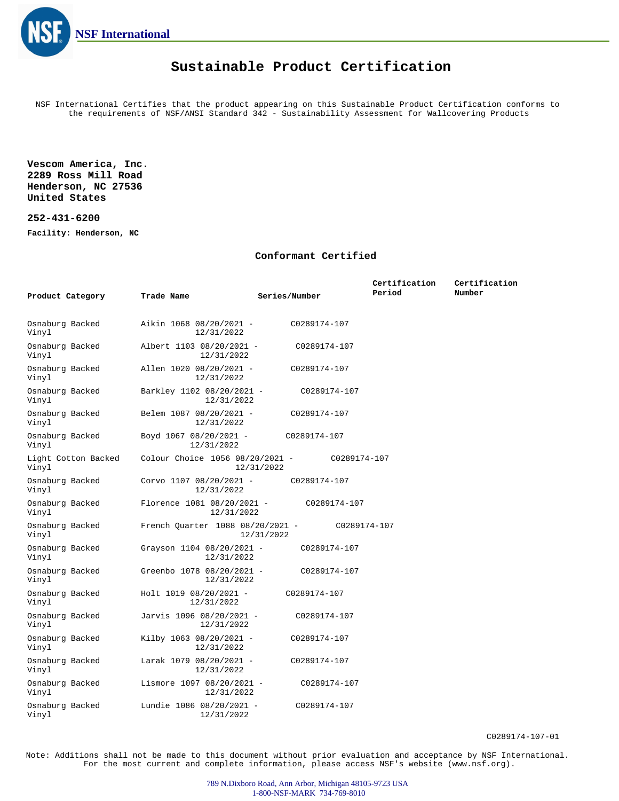

## **Sustainable Product Certification**

NSF International Certifies that the product appearing on this Sustainable Product Certification conforms to the requirements of NSF/ANSI Standard 342 - Sustainability Assessment for Wallcovering Products

**Vescom America, Inc. 2289 Ross Mill Road Henderson, NC 27536 United States**

## **252-431-6200**

**Facility: Henderson, NC**

## **Conformant Certified**

|                              |                                          |                            | Certification | Certification |
|------------------------------|------------------------------------------|----------------------------|---------------|---------------|
| Product Category             | Trade Name                               | Series/Number              | Period        | Number        |
|                              |                                          |                            |               |               |
| Osnaburg Backed<br>Vinyl     | Aikin 1068 08/20/2021 -<br>12/31/2022    | C0289174-107               |               |               |
| Osnaburg Backed<br>Vinyl     | Albert 1103 08/20/2021 -<br>12/31/2022   | C0289174-107               |               |               |
| Osnaburg Backed<br>Vinyl     | Allen 1020 08/20/2021 -<br>12/31/2022    | C0289174-107               |               |               |
| Osnaburg Backed<br>Vinyl     | Barkley 1102 08/20/2021 -<br>12/31/2022  | C0289174-107               |               |               |
| Osnaburg Backed<br>Vinyl     | Belem 1087 08/20/2021 -<br>12/31/2022    | C0289174-107               |               |               |
| Osnaburg Backed<br>Vinyl     | Boyd 1067 08/20/2021 -<br>12/31/2022     | C0289174-107               |               |               |
| Light Cotton Backed<br>Vinyl | Colour Choice 1056 08/20/2021 -          | C0289174-107<br>12/31/2022 |               |               |
| Osnaburg Backed<br>Vinyl     | Corvo $1107 08/20/2021 -$<br>12/31/2022  | C0289174-107               |               |               |
| Osnaburg Backed<br>Vinyl     | Florence 1081 08/20/2021 -<br>12/31/2022 | C0289174-107               |               |               |
| Osnaburg Backed<br>Vinyl     | French Quarter 1088 08/20/2021 -         | C0289174-107<br>12/31/2022 |               |               |
| Osnaburg Backed<br>Vinyl     | Grayson 1104 08/20/2021 -<br>12/31/2022  | C0289174-107               |               |               |
| Osnaburg Backed<br>Vinyl     | Greenbo 1078 08/20/2021 -<br>12/31/2022  | C0289174-107               |               |               |
| Osnaburg Backed<br>Vinyl     | Holt 1019 08/20/2021 -<br>12/31/2022     | C0289174-107               |               |               |
| Osnaburg Backed<br>Vinyl     | Jarvis 1096 08/20/2021 -<br>12/31/2022   | C0289174-107               |               |               |
| Osnaburg Backed<br>Vinyl     | Kilby 1063 08/20/2021 -<br>12/31/2022    | C0289174-107               |               |               |
| Osnaburg Backed<br>Vinyl     | Larak 1079 08/20/2021 -<br>12/31/2022    | C0289174-107               |               |               |
| Osnaburg Backed<br>Vinyl     | Lismore 1097 08/20/2021 -<br>12/31/2022  | C0289174-107               |               |               |
| Osnaburg Backed<br>Vinyl     | Lundie 1086 08/20/2021 -<br>12/31/2022   | C0289174-107               |               |               |

C0289174-107-01

Note: Additions shall not be made to this document without prior evaluation and acceptance by NSF International. For the most current and complete information, please access NSF's website (www.nsf.org).